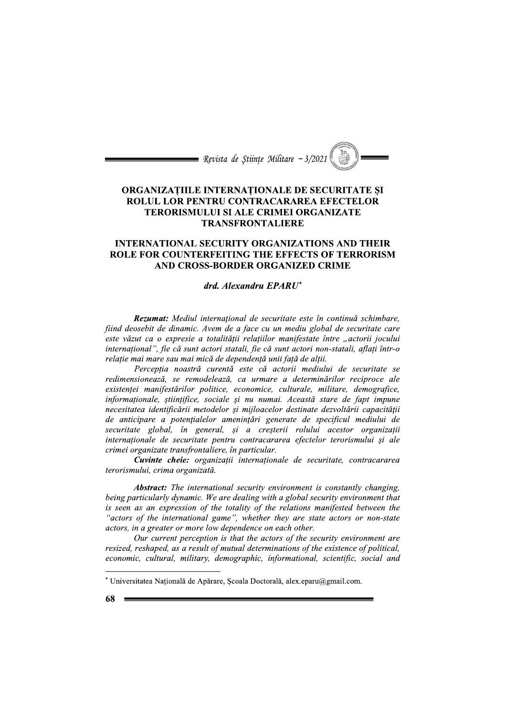= Revista de Stiințe Militare ~ 3/2021

# ORGANIZAȚIILE INTERNAȚIONALE DE SECURITATE ȘI ROLUL LOR PENTRU CONTRACARAREA EFECTELOR **TERORISMULUI SI ALE CRIMEI ORGANIZATE TRANSFRONTALIERE**

## **INTERNATIONAL SECURITY ORGANIZATIONS AND THEIR ROLE FOR COUNTERFEITING THE EFFECTS OF TERRORISM** AND CROSS-BORDER ORGANIZED CRIME

#### drd. Alexandru EPARU\*

Rezumat: Mediul internațional de securitate este în continuă schimbare, fiind deosebit de dinamic. Avem de a face cu un mediu global de securitate care este văzut ca o expresie a totalității relațiilor manifestate între "actorii jocului internațional", fie că sunt actori statali, fie că sunt actori non-statali, aflați într-o relație mai mare sau mai mică de dependență unii față de alții.

Perceptia noastră curentă este că actorii mediului de securitate se redimensionează, se remodelează, ca urmare a determinărilor reciproce ale existenței manifestărilor politice, economice, culturale, militare, demografice, informaționale, științifice, sociale și nu numai. Această stare de fapt impune necesitatea identificării metodelor și mijloacelor destinate dezvoltării capacității de anticipare a potentialelor amenințări generate de specificul mediului de securitate global, în general, și a creșterii rolului acestor organizații internaționale de securitate pentru contracararea efectelor terorismului și ale crimei organizate transfrontaliere, în particular.

Cuvinte cheie: organizații internaționale de securitate, contracararea terorismului, crima organizată.

**Abstract:** The international security environment is constantly changing, being particularly dynamic. We are dealing with a global security environment that is seen as an expression of the totality of the relations manifested between the "actors of the international game", whether they are state actors or non-state actors, in a greater or more low dependence on each other.

Our current perception is that the actors of the security environment are resized, reshaped, as a result of mutual determinations of the existence of political, economic, cultural, military, demographic, informational, scientific, social and

<sup>\*</sup> Universitatea Națională de Apărare, Școala Doctorală, alex.eparu@gmail.com.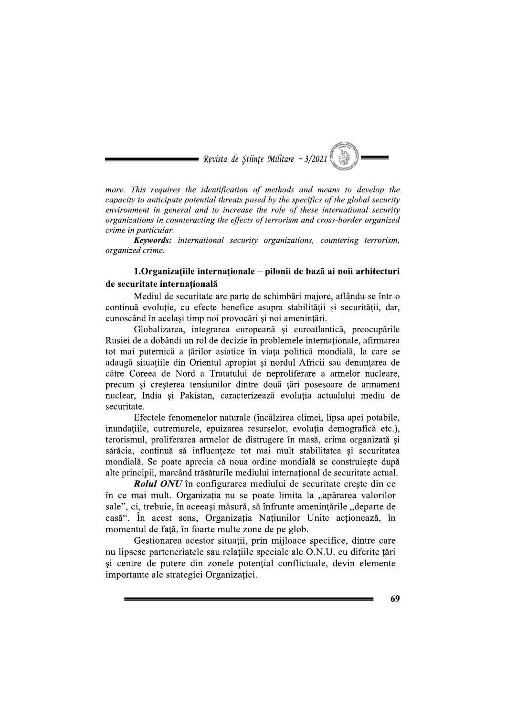$\equiv$  Revista de Stiințe Militare ~ 3/2021

more. This requires the identification of methods and means to develop the capacity to anticipate potential threats posed by the specifics of the global security environment in general and to increase the role of these international security organizations in counteracting the effects of terrorism and cross-border organized crime in particular.

Keywords: international security organizations, countering terrorism, organized crime.

# 1. Organizațiile internaționale – pilonii de bază ai noii arhitecturi de securitate internatională

Mediul de securitate are parte de schimbări majore, aflându-se într-o continuă evoluție, cu efecte benefice asupra stabilității și securității, dar, cunoscând în același timp noi provocări și noi amenințări.

Globalizarea, integrarea europeană și euroatlantică, preocupările Rusiei de a dobândi un rol de decizie în problemele internaționale, afirmarea tot mai puternică a țărilor asiatice în viața politică mondială, la care se adaugă situațiile din Orientul apropiat și nordul Africii sau denunțarea de către Coreea de Nord a Tratatului de neproliferare a armelor nucleare, precum si cresterea tensiunilor dintre două țări posesoare de armament nuclear, India și Pakistan, caracterizează evoluția actualului mediu de securitate.

Efectele fenomenelor naturale (încălzirea climei, lipsa apei potabile, inundațiile, cutremurele, epuizarea resurselor, evoluția demografică etc.), terorismul, proliferarea armelor de distrugere în masă, crima organizată și sărăcia, continuă să influențeze tot mai mult stabilitatea și securitatea mondială. Se poate aprecia că noua ordine mondială se construiește după alte principii, marcând trăsăturile mediului internațional de securitate actual.

**Rolul ONU** în configurarea mediului de securitate crește din ce în ce mai mult. Organizația nu se poate limita la "apărarea valorilor sale", ci, trebuie, în aceeași măsură, să înfrunte amenințările "departe de casă". În acest sens, Organizatia Natiunilor Unite actionează, în momentul de față, în foarte multe zone de pe glob.

Gestionarea acestor situații, prin mijloace specifice, dintre care nu lipsesc parteneriatele sau relațiile speciale ale O.N.U. cu diferite țări si centre de putere din zonele potential conflictuale, devin elemente importante ale strategiei Organizatiei.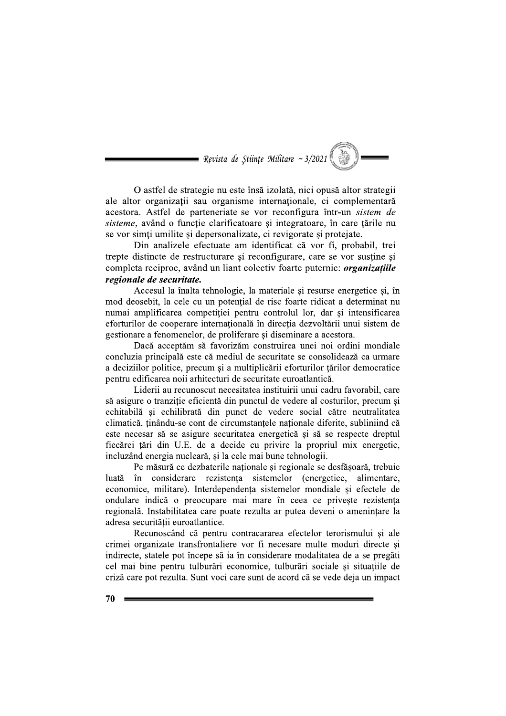$\equiv$  Revista de Stiințe Militare ~ 3/2021

O astfel de strategie nu este însă izolată, nici opusă altor strategii ale altor organizatii sau organisme internationale, ci complementară acestora. Astfel de parteneriate se vor reconfigura într-un *sistem de* sisteme, având o funcție clarificatoare și integratoare, în care țările nu se vor simți umilite și depersonalizate, ci revigorate și protejate.

Din analizele efectuate am identificat că vor fi, probabil, trei trepte distincte de restructurare si reconfigurare, care se vor sustine si completa reciproc, având un liant colectiv foarte puternic: *organizatiile* regionale de securitate.

Accesul la înalta tehnologie, la materiale și resurse energetice și, în mod deosebit, la cele cu un potențial de risc foarte ridicat a determinat nu numai amplificarea competitiei pentru controlul lor, dar si intensificarea eforturilor de cooperare internatională în directia dezvoltării unui sistem de gestionare a fenomenelor, de proliferare și diseminare a acestora.

Dacă acceptăm să favorizăm construirea unei noi ordini mondiale concluzia principală este că mediul de securitate se consolidează ca urmare a deciziilor politice, precum și a multiplicării eforturilor țărilor democratice pentru edificarea noii arhitecturi de securitate euroatlantică.

Liderii au recunoscut necesitatea instituirii unui cadru favorabil, care să asigure o tranziție eficientă din punctul de vedere al costurilor, precum și echitabilă și echilibrată din punct de vedere social către neutralitatea climatică, ținându-se cont de circumstanțele naționale diferite, subliniind că este necesar să se asigure securitatea energetică și să se respecte dreptul fiecărei țări din U.E. de a decide cu privire la propriul mix energetic, incluzând energia nucleară, și la cele mai bune tehnologii.

Pe măsură ce dezbaterile naționale și regionale se desfășoară, trebuie luată în considerare rezistența sistemelor (energetice, alimentare, economice, militare). Interdependenta sistemelor mondiale si efectele de ondulare indică o preocupare mai mare în ceea ce privește rezistența regională. Instabilitatea care poate rezulta ar putea deveni o amenințare la adresa securității euroatlantice.

Recunoscând că pentru contracararea efectelor terorismului și ale crimei organizate transfrontaliere vor fi necesare multe moduri directe și indirecte, statele pot începe să ia în considerare modalitatea de a se pregăti cel mai bine pentru tulburări economice, tulburări sociale si situatiile de criză care pot rezulta. Sunt voci care sunt de acord că se vede deja un impact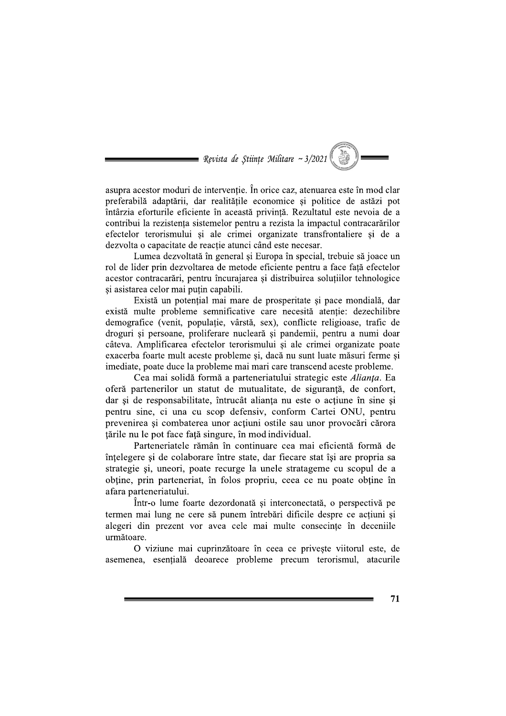= Revista de Stiințe Militare ~  $3/2021$ 

asupra acestor moduri de intervenție. În orice caz, atenuarea este în mod clar preferabilă adaptării, dar realitătile economice si politice de astăzi pot întârzia eforturile eficiente în această privintă. Rezultatul este nevoia de a contribui la rezistenta sistemelor pentru a rezista la impactul contracarărilor efectelor terorismului si ale crimei organizate transfrontaliere si de a dezvolta o capacitate de reacție atunci când este necesar.

Lumea dezvoltată în general și Europa în special, trebuie să joace un rol de lider prin dezvoltarea de metode eficiente pentru a face fată efectelor acestor contracarări, pentru încurajarea și distribuirea soluțiilor tehnologice și asistarea celor mai puțin capabili.

Există un potential mai mare de prosperitate și pace mondială, dar există multe probleme semnificative care necesită atenție: dezechilibre demografice (venit, populatie, vârstă, sex), conflicte religioase, trafic de droguri și persoane, proliferare nucleară și pandemii, pentru a numi doar câteva. Amplificarea efectelor terorismului și ale crimei organizate poate exacerba foarte mult aceste probleme si, daçă nu sunt luate măsuri ferme si imediate, poate duce la probleme mai mari care transcend aceste probleme.

Cea mai solidă formă a parteneriatului strategic este Alianța. Ea oferă partenerilor un statut de mutualitate, de siguranță, de confort, dar și de responsabilitate, întrucât alianța nu este o acțiune în sine și pentru sine, ci una cu scop defensiv, conform Cartei ONU, pentru prevenirea și combaterea unor acțiuni ostile sau unor provocări cărora tările nu le pot face față singure, în mod individual.

Parteneriatele rămân în continuare cea mai eficientă formă de întelegere și de colaborare între state, dar fiecare stat își are propria sa strategie și, uneori, poate recurge la unele stratageme cu scopul de a obține, prin parteneriat, în folos propriu, ceea ce nu poate obține în afara parteneriatului.

Într-o lume foarte dezordonată și interconectată, o perspectivă pe termen mai lung ne cere să punem întrebări dificile despre ce acțiuni și alegeri din prezent vor avea cele mai multe consecinte în deceniile următoare.

O viziune mai cuprinzătoare în ceea ce priveste viitorul este, de asemenea, esențială deoarece probleme precum terorismul, atacurile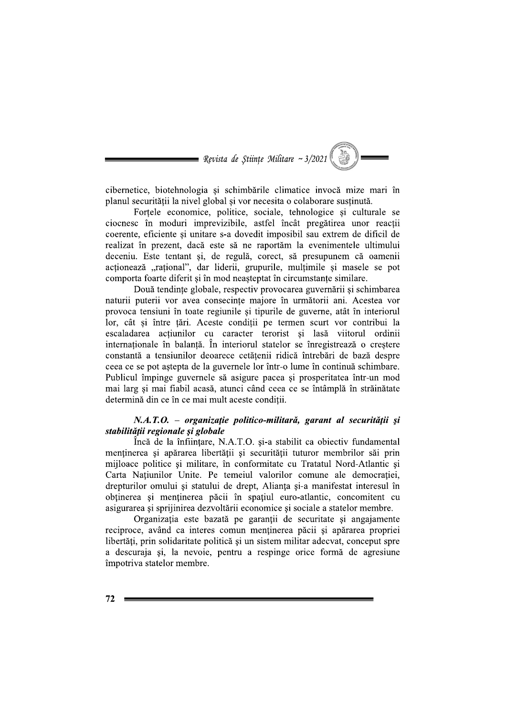= Revista de Stiințe Militare ~ 3/2021

cibernetice, biotehnologia și schimbările climatice invocă mize mari în planul securității la nivel global si vor necesita o colaborare sustinută.

Fortele economice, politice, sociale, tehnologice si culturale se ciocnesc în moduri imprevizibile, astfel încât pregătirea unor reacții coerente, eficiente si unitare s-a dovedit imposibil sau extrem de dificil de realizat în prezent, dacă este să ne raportăm la evenimentele ultimului deceniu. Este tentant și, de regulă, corect, să presupunem că oamenii actionează "rațional", dar liderii, grupurile, mulțimile și masele se pot comporta foarte diferit și în mod neașteptat în circumstanțe similare.

Două tendințe globale, respectiv provocarea guvernării și schimbarea naturii puterii vor avea consecinte majore în următorii ani. Acestea vor provoca tensiuni în toate regiunile și tipurile de guverne, atât în interiorul lor, cât si între tări. Aceste conditii pe termen scurt vor contribui la escaladarea actiunilor cu caracter terorist și lasă viitorul ordinii internationale în balantă. În interiorul statelor se înregistrează o crestere constantă a tensiunilor deoarece cetătenii ridică întrebări de bază despre ceea ce se pot astepta de la guvernele lor într-o lume în continuă schimbare. Publicul împinge guvernele să asigure pacea și prosperitatea într-un mod mai larg si mai fiabil acasă, atunci când ceea ce se întâmplă în străinătate determină din ce în ce mai mult aceste condiții.

#### N.A.T.O. – organizație politico-militară, garant al securității și stabilității regionale și globale

Încă de la înființare, N.A.T.O. și-a stabilit ca obiectiv fundamental mentinerea si apărarea libertății si securității tuturor membrilor săi prin mijloace politice și militare, în conformitate cu Tratatul Nord-Atlantic și Carta Natiunilor Unite. Pe temeiul valorilor comune ale democratiei. drepturilor omului si statului de drept, Alianta si-a manifestat interesul în obținerea și menținerea păcii în spațiul euro-atlantic, concomitent cu asigurarea si spriinirea dezvoltării economice și sociale a statelor membre.

Organizația este bazată pe garanții de securitate și angajamente reciproce, având ca interes comun mentinerea păcii și apărarea propriei libertăți, prin solidaritate politică și un sistem militar adecvat, conceput spre a descuraja și, la nevoie, pentru a respinge orice formă de agresiune împotriva statelor membre.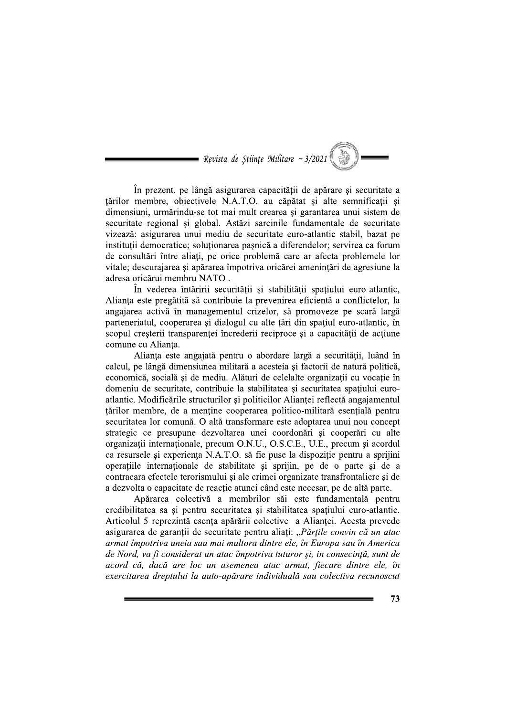$\blacksquare$  Revista de Stiințe Militare ~ 3/2021

În prezent, pe lângă asigurarea capacitătii de apărare și securitate a tărilor membre, obiectivele N.A.T.O. au căpătat și alte semnificații și dimensiuni, urmărindu-se tot mai mult crearea și garantarea unui sistem de securitate regional și global. Astăzi sarcinile fundamentale de securitate vizează: asigurarea unui mediu de securitate euro-atlantic stabil, bazat pe instituții democratice; soluționarea pașnică a diferendelor; servirea ca forum de consultări între aliati, ne orice problemă care ar afecta problemele lor vitale; descurajarea și apărarea împotriva oricărei amenințări de agresiune la adresa oricărui membru NATO.

În vederea întăririi securității și stabilității spațiului euro-atlantic, Alianta este pregătită să contribuie la prevenirea eficientă a conflictelor, la angaiarea activă în managementul crizelor, să promoveze pe scară largă parteneriatul, cooperarea și dialogul cu alte tări din spatiul euro-atlantic, în scopul creșterii transparenței încrederii reciproce și a capacității de acțiune comune cu Alianta.

Alianta este angaiată pentru o abordare largă a securitătii, luând în calcul, ne lângă dimensiunea militară a acesteia și factorii de natură politică. economică, socială și de mediu. Alături de celelalte organizatii cu vocatie în domeniu de securitate, contribuie la stabilitatea si securitatea spatiului euroangajarea activă în managementul crizelor, să promoveze pe scară largă<br>parteneriatul, cooperarea și dialogul cu alte țări din spațiul euro-atlantic, în<br>scopul creșterii transparenței încrederii reciproce și a capacității d tărilor membre, de a menține cooperarea politico-militară esențială pentru securitatea lor comună. O altă transformare este adoptarea unui nou concept strategic ce presupune dezvoltarea unei coordonări și cooperări cu alte organizatii internationale, precum O.N.U., O.S.C.E., U.E., precum si acordul ca resursele si experienta N.A.T.O. să fie puse la dispozitie pentru a sprijini operatiile internationale de stabilitate si spriiin, pe de o parte si de a contracara efectele terorismului și ale crimei organizate transfrontaliere și de a dezvolta o capacitate de reactie atunci când este necesar, pe de altă parte.

Apărarea colectivă a membrilor săi este fundamentală pentru credibilitatea sa și pentru securitatea și stabilitatea spațiului euro-atlantic. Articolul 5 reprezintă esența apărării colective a Alianței. Acesta prevede asigurarea de garanții de securitate pentru aliați: "Părțile convin că un atac armat împotriva uneia sau mai multora dintre ele, în Europa sau în America de Nord, va fi considerat un atac împotriva tuturor și, in consecință, sunt de acord că, dacă are loc un asemenea atac armat, fiecare dintre ele, în exercitarea dreptului la auto-apărare individuală sau colectiva recunoscut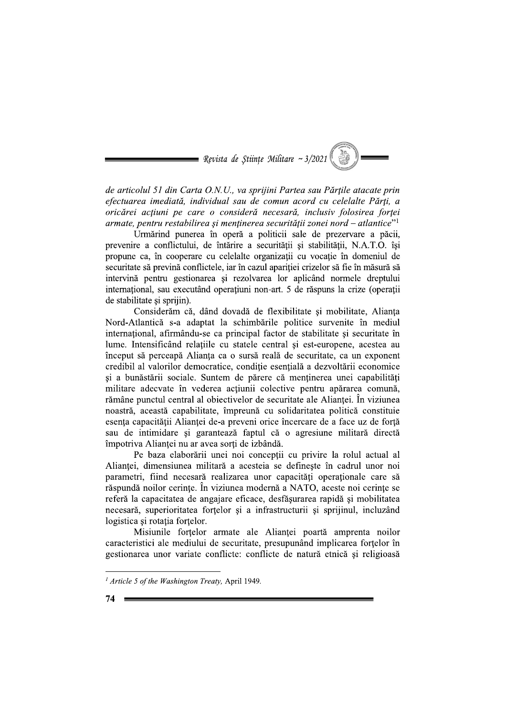= Revista de Stiințe Militare ~  $3/2021$ 

de articolul 51 din Carta O.N.U., va sprijini Partea sau Părțile atacate prin efectuarea imediată, individual sau de comun acord cu celelalte Părti, a oricărei actiuni pe care o consideră necesară, inclusiv folosirea fortei armate, pentru restabilirea și menținerea securității zonei nord – atlantice"<sup>1</sup>

Urmărind punerea în operă a politicii sale de prezervare a păcii, prevenire a conflictului, de întărire a securității și stabilității, N.A.T.O. își propune ca, în cooperare cu celelalte organizații cu vocație în domeniul de securitate să prevină conflictele, iar în cazul apariției crizelor să fie în măsură să intervină pentru gestionarea și rezolvarea lor aplicând normele dreptului internațional, sau executând operațiuni non-art. 5 de răspuns la crize (operații de stabilitate și sprijin.

Considerăm că, dând dovadă de flexibilitate și mobilitate, Alianța Nord-Atlantică s-a adaptat la schimbările politice survenite în mediul internațional, afirmându-se ca principal factor de stabilitate și securitate în lume. Intensificând relațiile cu statele central și est-europene, acestea au început să perceapă Alianta ca o sursă reală de securitate, ca un exponent credibil al valorilor democratice, condiție esențială a dezvoltării economice si a bunăstării sociale. Suntem de părere că menținerea unei capabilități militare adecvate în vederea actiunii colective pentru apărarea comună, rămâne punctul central al obiectivelor de securitate ale Alianței. În viziunea noastră, această capabilitate, împreună cu solidaritatea politică constituie esența capacității Alianței de-a preveni orice încercare de a face uz de forță sau de intimidare și garantează faptul că o agresiune militară directă împotriva Aliantei nu ar avea sorti de izbândă.

Pe baza elaborării unei noi conceptii cu privire la rolul actual al Alianței, dimensiunea militară a acesteia se definește în cadrul unor noi parametri, fiind necesară realizarea unor capacități operaționale care să răspundă noilor cerințe. În viziunea modernă a NATO, aceste noi cerințe se referă la capacitatea de angajare eficace, desfășurarea rapidă și mobilitatea necesară, superioritatea forțelor și a infrastructurii și sprijinul, incluzând logistica si rotatia fortelor.

Misiunile fortelor armate ale Aliantei poartă amprenta noilor caracteristici ale mediului de securitate, presupunând implicarea forțelor în gestionarea unor variate conflicte: conflicte de natură etnică și religioasă

<sup>&</sup>lt;sup>1</sup> Article 5 of the Washington Treaty, April 1949.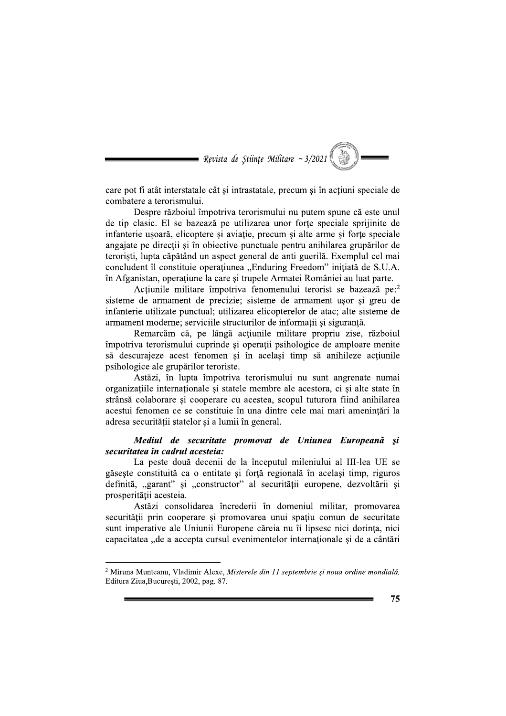$\equiv$  Revista de Stiințe Militare ~ 3/2021

care pot fi atât interstatale cât și intrastatale, precum și în acțiuni speciale de combatere a terorismului.

Despre războiul împotriva terorismului nu putem spune că este unul de tip clasic. El se bazează pe utilizarea unor forțe speciale sprijinite de infanterie usoară, elicoptere și aviație, precum și alte arme și forțe speciale angajate pe direcții și în obiective punctuale pentru anihilarea grupărilor de teroriști, lupta căpătând un aspect general de anti-guerilă. Exemplul cel mai concludent îl constituie operațiunea "Enduring Freedom" inițiată de S.U.A. în Afganistan, operațiune la care și trupele Armatei României au luat parte.

Acțiunile militare împotriva fenomenului terorist se bazează pe:<sup>2</sup> sisteme de armament de precizie; sisteme de armament usor si greu de infanterie utilizate punctual; utilizarea elicopterelor de atac; alte sisteme de armament moderne; serviciile structurilor de informații și siguranță.

Remarcăm că, pe lângă acțiunile militare propriu zise, războiul împotriva terorismului cuprinde și operații psihologice de amploare menite să descurajeze acest fenomen și în același timp să anihileze acțiunile psihologice ale grupărilor teroriste.

Astăzi, în lupta împotriva terorismului nu sunt angrenate numai organizatiile internationale si statele membre ale acestora, ci si alte state în strânsă colaborare și cooperare cu acestea, scopul tuturora fiind anihilarea acestui fenomen ce se constituie în una dintre cele mai mari amenințări la adresa securității statelor și a lumii în general.

### Mediul de securitate promovat de Uniunea Europeană și securitatea în cadrul acesteia:

La peste două decenii de la începutul mileniului al III-lea UE se găsește constituită ca o entitate și forță regională în același timp, riguros definită, "garant" și "constructor" al securității europene, dezvoltării și prosperității acesteia.

Astăzi consolidarea încrederii în domeniul militar, promovarea securității prin cooperare și promovarea unui spațiu comun de securitate sunt imperative ale Uniunii Europene căreia nu îi lipsesc nici dorința, nici capacitatea "de a accepta cursul evenimentelor internationale și de a cântări

<sup>&</sup>lt;sup>2</sup> Miruna Munteanu, Vladimir Alexe, Misterele din 11 septembrie și noua ordine mondială, Editura Ziua, București, 2002, pag. 87.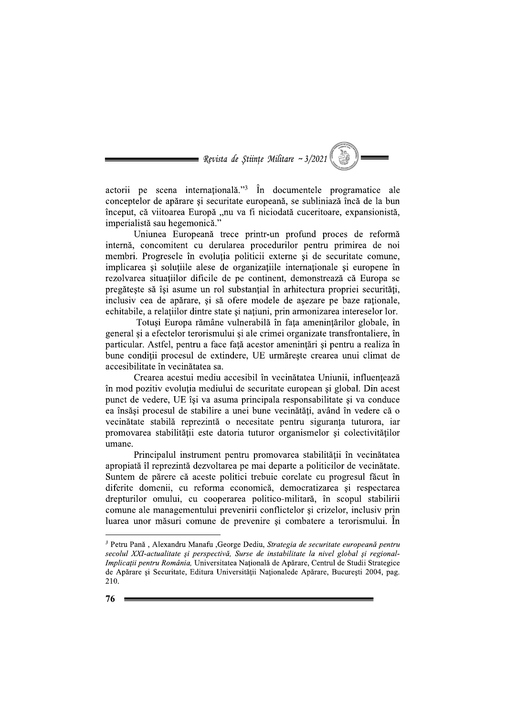$\equiv$  Revista de Stiințe Militare ~ 3/2021

actorii pe scena internațională."<sup>3</sup> În documentele programatice ale conceptelor de apărare si securitate europeană, se subliniază încă de la bun început, că viitoarea Europă "nu va fi niciodată cuceritoare, expansionistă, imperialistă sau hegemonică."

Uniunea Europeană trece printr-un profund proces de reformă internă, concomitent cu derularea procedurilor pentru primirea de noi membri. Progresele în evoluția politicii externe și de securitate comune, implicarea și soluțiile alese de organizațiile internaționale și europene în rezolvarea situațiilor dificile de pe continent, demonstrează că Europa se pregătește să își asume un rol substanțial în arhitectura propriei securități, inclusiv cea de apărare, și să ofere modele de asezare pe baze raționale, echitabile, a relațiilor dintre state și națiuni, prin armonizarea intereselor lor.

Totusi Europa rămâne vulnerabilă în fața amenințărilor globale, în general și a efectelor terorismului și ale crimei organizate transfrontaliere, în particular. Astfel, pentru a face față acestor amenințări și pentru a realiza în bune conditii procesul de extindere. UE urmăreste crearea unui climat de accesibilitate în vecinătatea sa.

Crearea acestui mediu accesibil în vecinătatea Uniunii, influentează în mod pozitiv evolutia mediului de securitate european și global. Din acest punct de vedere, UE își va asuma principala responsabilitate și va conduce ea însăsi procesul de stabilire a unei bune vecinătăți, având în vedere că o vecinătate stabilă reprezintă o necesitate pentru siguranța tuturora, iar promovarea stabilității este datoria tuturor organismelor și colectivităților umane.

Principalul instrument pentru promovarea stabilității în vecinătatea apropiată îl reprezintă dezvoltarea pe mai departe a politicilor de vecinătate. Suntem de părere că aceste politici trebuie corelate cu progresul făcut în diferite domenii, cu reforma economică, democratizarea și respectarea drepturilor omului, cu cooperarea politico-militară, în scopul stabilirii comune ale managementului prevenirii conflictelor și crizelor, inclusiv prin luarea unor măsuri comune de prevenire si combatere a terorismului. În

<sup>&</sup>lt;sup>3</sup> Petru Pană, Alexandru Manafu , George Dediu, Strategia de securitate europeană pentru secolul XXI-actualitate și perspectivă, Surse de instabilitate la nivel global și regional-Implicații pentru România, Universitatea Națională de Apărare, Centrul de Studii Strategice de Apărare și Securitate, Editura Universității Naționalede Apărare, București 2004, pag. 210.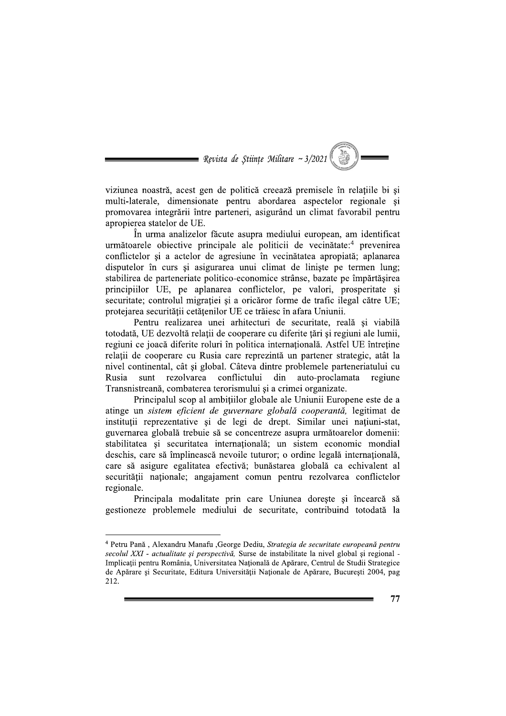$\equiv$  Revista de Stiințe Militare ~ 3/2021

viziunea noastră, acest gen de politică creează premisele în relațiile bi și multi-laterale, dimensionate pentru abordarea aspectelor regionale și promovarea integrării între parteneri, asigurând un climat favorabil pentru apropierea statelor de UE.

În urma analizelor făcute asupra mediului european, am identificat următoarele obiective principale ale politicii de vecinătate:<sup>4</sup> prevenirea conflictelor și a actelor de agresiune în vecinătatea apropiată; aplanarea disputelor în curs și asigurarea unui climat de liniste pe termen lung: stabilirea de parteneriate politico-economice strânse, bazate pe împărtășirea principiilor UE, pe aplanarea conflictelor, pe valori, prosperitate și securitate; controlul migratiei și a oricăror forme de trafic ilegal către UE; protejarea securității cetățenilor UE ce trăiesc în afara Uniunii.

Pentru realizarea unei arhitecturi de securitate, reală și viabilă totodată, UE dezvoltă relații de cooperare cu diferite țări și regiuni ale lumii, regiuni ce joacă diferite roluri în politica internațională. Astfel UE întreține relatii de cooperare cu Rusia care reprezintă un partener strategic, atât la nivel continental, cât și global. Câteva dintre problemele parteneriatului cu rezolvarea conflictului din auto-proclamata Rusia sunt regiune Transnistreană, combaterea terorismului și a crimei organizate.

Principalul scop al ambitiilor globale ale Uniunii Europene este de a atinge un sistem eficient de guvernare globală cooperantă, legitimat de instituții reprezentative și de legi de drept. Similar unei națiuni-stat, guvernarea globală trebuie să se concentreze asupra următoarelor domenii: stabilitatea și securitatea internațională; un sistem economic mondial deschis, care să împlinească nevoile tuturor; o ordine legală internatională, care să asigure egalitatea efectivă; bunăstarea globală ca echivalent al securității naționale; angajament comun pentru rezolvarea conflictelor regionale.

Principala modalitate prin care Uniunea dorește și încearcă să gestioneze problemele mediului de securitate, contribuind totodată la

<sup>&</sup>lt;sup>4</sup> Petru Pană, Alexandru Manafu, George Dediu, Strategia de securitate europeană pentru secolul XXI - actualitate și perspectivă, Surse de instabilitate la nivel global și regional -Implicații pentru România, Universitatea Națională de Apărare, Centrul de Studii Strategice de Apărare și Securitate, Editura Universității Naționale de Apărare, București 2004, pag 212.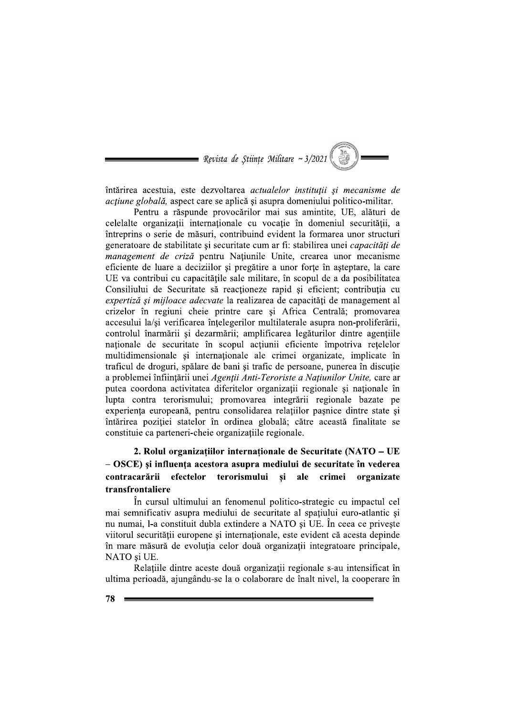$\hspace{0.1cm}$  = Revista de Stiințe Militare ~ 3/2021  $\langle$ 

întărirea acestuia, este dezvoltarea actualelor instituții și mecanisme de *actiune globală*, aspect care se aplică și asupra domeniului politico-militar.

Pentru a răspunde provocărilor mai sus amintite, UE, alături de celelalte organizații internaționale cu vocație în domeniul securității, a întreprins o serie de măsuri, contribuind evident la formarea unor structuri generatoare de stabilitate și securitate cum ar fi: stabilirea unei *capacități de* management de criză pentru Națiunile Unite, crearea unor mecanisme eficiente de luare a deciziilor și pregătire a unor forțe în asteptare, la care UE va contribui cu capacitățile sale militare, în scopul de a da posibilitatea Consiliului de Securitate să reacționeze rapid și eficient; contribuția cu expertiză și mijloace adecvate la realizarea de capacități de management al crizelor în regiuni cheie printre care și Africa Centrală; promovarea accesului la/si verificarea întelegerilor multilaterale asupra non-proliferării, controlul înarmării și dezarmării; amplificarea legăturilor dintre agențiile naționale de securitate în scopul acțiunii eficiente împotriva rețelelor multidimensionale si internationale ale crimei organizate, implicate în traficul de droguri, spălare de bani și trafic de persoane, punerea în discuție a problemei înfiintării unei Agentii Anti-Teroriste a Natiunilor Unite, care ar putea coordona activitatea diferitelor organizatii regionale si nationale în lupta contra terorismului; promovarea integrării regionale bazate pe experienta europeană, pentru consolidarea relațiilor pasnice dintre state și întărirea poziției statelor în ordinea globală; către această finalitate se constituie ca parteneri-cheie organizațiile regionale.

#### 2. Rolul organizațiilor internaționale de Securitate (NATO – UE  $-$  OSCE) și influența acestora asupra mediului de securitate în vederea terorismului contracarării efectelor  $\boldsymbol{\mathsf{si}}$ ale crimei organizate transfrontaliere

În cursul ultimului an fenomenul politico-strategic cu impactul cel mai semnificativ asupra mediului de securitate al spatiului euro-atlantic si nu numai, l-a constituit dubla extindere a NATO și UE. În ceea ce privește viitorul securității europene și internaționale, este evident că acesta depinde în mare măsură de evoluția celor două organizații integratoare principale, NATO și UE.

Relatiile dintre aceste două organizatii regionale s-au intensificat în ultima perioadă, ajungându-se la o colaborare de înalt nivel, la cooperare în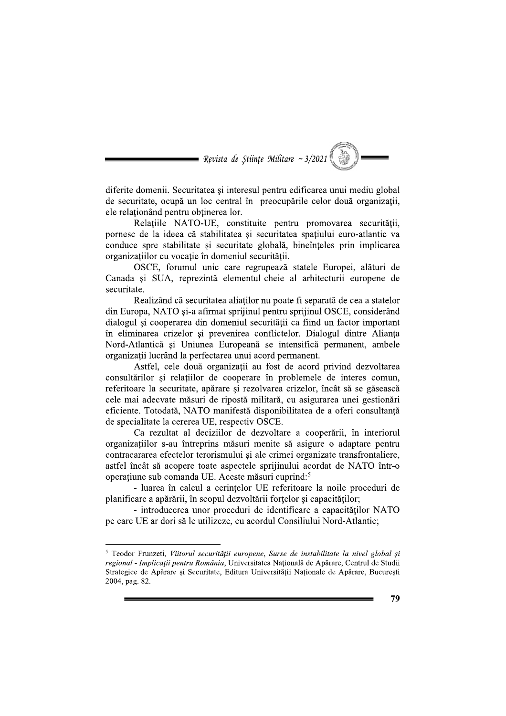= Revista de Stiințe Militare ~  $3/2021$ 

diferite domenii. Securitatea și interesul pentru edificarea unui mediu global de securitate, ocupă un loc central în preocupările celor două organizatii, ele relationând pentru obtinerea lor.

Relațiile NATO-UE, constituite pentru promovarea securității, pornesc de la ideea că stabilitatea si securitatea spațiului euro-atlantic va conduce spre stabilitate și securitate globală, bineînțeles prin implicarea organizațiilor cu vocație în domeniul securității.

OSCE, forumul unic care regrupează statele Europei, alături de Canada și SUA, reprezintă elementul-cheie al arhitecturii europene de securitate.

Realizând că securitatea aliaților nu poate fi separată de cea a statelor din Europa, NATO și-a afirmat sprijinul pentru sprijinul OSCE, considerând dialogul si cooperarea din domeniul securității ca fiind un factor important în eliminarea crizelor și prevenirea conflictelor. Dialogul dintre Alianța Nord-Atlantică și Uniunea Europeană se intensifică permanent, ambele organizatii lucrând la perfectarea unui acord permanent.

Astfel, cele două organizații au fost de acord privind dezvoltarea consultărilor și relațiilor de cooperare în problemele de interes comun, referitoare la securitate, apărare și rezolvarea crizelor, încât să se găsească cele mai adecvate măsuri de ripostă militară, cu asigurarea unei gestionări eficiente. Totodată, NATO manifestă disponibilitatea de a oferi consultanță de specialitate la cererea UE, respectiv OSCE.

Ca rezultat al deciziilor de dezvoltare a cooperării, în interiorul organizatiilor s-au întreprins măsuri menite să asigure o adaptare pentru contracararea efectelor terorismului si ale crimei organizate transfrontaliere, astfel încât să acopere toate aspectele sprijinului acordat de NATO într-o operațiune sub comanda UE. Aceste măsuri cuprind:<sup>5</sup>

- luarea în calcul a cerințelor UE referitoare la noile proceduri de planificare a apărării, în scopul dezvoltării forțelor și capacităților;

- introducerea unor proceduri de identificare a capacităților NATO pe care UE ar dori să le utilizeze, cu acordul Consiliului Nord-Atlantic;

<sup>&</sup>lt;sup>5</sup> Teodor Frunzeti, Viitorul securității europene, Surse de instabilitate la nivel global și regional - Implicații pentru România, Universitatea Națională de Apărare, Centrul de Studii Strategice de Apărare și Securitate, Editura Universității Naționale de Apărare, București 2004, pag. 82.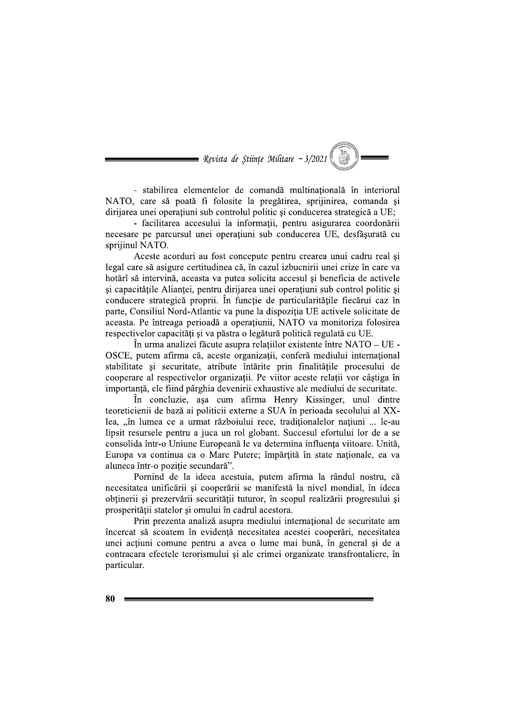$\equiv$  Revista de Stiințe Militare ~ 3/2021

- stabilirea elementelor de comandă multinațională în interiorul NATO, care să poată fi folosite la pregătirea, sprijinirea, comanda și dirijarea unei operatiuni sub controlul politic si conducerea strategică a UE;

- facilitarea accesului la informații, pentru asigurarea coordonării necesare pe parcursul unei operațiuni sub conducerea UE, desfășurată cu sprijinul NATO.

Aceste acorduri au fost concepute pentru crearea unui cadru real și legal care să asigure certitudinea că, în cazul izbucnirii unei crize în care va hotărî să intervină, aceasta va putea solicita accesul și beneficia de activele și capacitățile Alianței, pentru dirijarea unei operațiuni sub control politic și conducere strategică proprii. În funcție de particularitățile fiecărui caz în parte, Consiliul Nord-Atlantic va pune la dispoziția UE activele solicitate de aceasta. Pe întreaga perioadă a operațiunii, NATO va monitoriza folosirea respectivelor capacități și va păstra o legătură politică regulată cu UE.

În urma analizei făcute asupra relațiilor existente între NATO – UE -OSCE, putem afirma că, aceste organizații, conferă mediului internațional stabilitate și securitate, atribute întărite prin finalitățile procesului de cooperare al respectivelor organizatii. Pe viitor aceste relatii vor câstiga în importantă, ele fiind pârghia devenirii exhaustive ale mediului de securitate.

În concluzie, așa cum afirma Henry Kissinger, unul dintre teoreticienii de bază ai politicii externe a SUA în perioada secolului al XXlea, "în lumea ce a urmat războiului rece, tradiționalelor națiuni ... le-au lipsit resursele pentru a juca un rol globant. Succesul efortului lor de a se consolida într-o Uniune Europeană le va determina influenta viitoare. Unită, Europa va continua ca o Mare Putere; împărtită în state nationale, ea va aluneca într-o poziție secundară".

Pornind de la ideea acestuia, putem afirma la rândul nostru, că necesitatea unificării și cooperării se manifestă la nivel mondial, în ideea obținerii și prezervării securității tuturor, în scopul realizării progresului și prosperității statelor și omului în cadrul acestora.

Prin prezenta analiză asupra mediului internațional de securitate am încercat să scoatem în evidentă necesitatea acestei cooperări, necesitatea unei acțiuni comune pentru a avea o lume mai bună, în general și de a contracara efectele terorismului și ale crimei organizate transfrontaliere, în particular.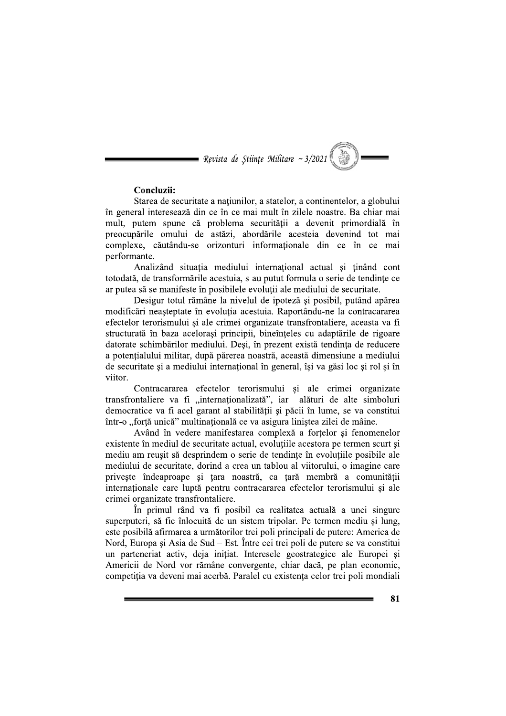= Revista de Științe Militare ~ 3/2021

#### Concluzii:

Starea de securitate a natiunilor, a statelor, a continentelor, a globului în general interesează din ce în ce mai mult în zilele noastre. Ba chiar mai mult, putem spune că problema securității a devenit primordială în preocupările omului de astăzi, abordările acesteia devenind tot mai complexe, căutându-se orizonturi informaționale din ce în ce mai performante.

Analizând situația mediului internațional actual și ținând cont totodată, de transformările acestuia, s-au putut formula o serie de tendințe ce ar putea să se manifeste în posibilele evoluții ale mediului de securitate.

Desigur totul rămâne la nivelul de ipoteză și posibil, putând apărea modificări neașteptate în evoluția acestuia. Raportându-ne la contracararea efectelor terorismului si ale crimei organizate transfrontaliere, aceasta va fi structurată în baza acelorași principii, bineînțeles cu adaptările de rigoare datorate schimbărilor mediului. Deși, în prezent există tendința de reducere a potentialului militar, după părerea noastră, această dimensiune a mediului de securitate și a mediului internațional în general, își va găsi loc și rol și în viitor.

Contracararea efectelor terorismului si ale crimei organizate transfrontaliere va fi "internaționalizată", iar alături de alte simboluri democratice va fi acel garant al stabilității și păcii în lume, se va constitui într-o "forță unică" multinațională ce va asigura liniștea zilei de mâine.

Având în vedere manifestarea complexă a forțelor și fenomenelor existente în mediul de securitate actual, evolutiile acestora pe termen scurt si mediu am reusit să desprindem o serie de tendinte în evoluțiile posibile ale mediului de securitate, dorind a crea un tablou al viitorului, o imagine care priveste îndeaproape și țara noastră, ca țară membră a comunității internaționale care luptă pentru contracararea efectelor terorismului și ale crimei organizate transfrontaliere.

În primul rând va fi posibil ca realitatea actuală a unei singure superputeri, să fie înlocuită de un sistem tripolar. Pe termen mediu și lung, este posibilă afirmarea a următorilor trei poli principali de putere: America de Nord, Europa și Asia de Sud – Est. Între cei trei poli de putere se va constitui un parteneriat activ, deja inițiat. Interesele geostrategice ale Europei și Americii de Nord vor rămâne convergente, chiar dacă, pe plan economic, competitia va deveni mai acerbă. Paralel cu existenta celor trei poli mondiali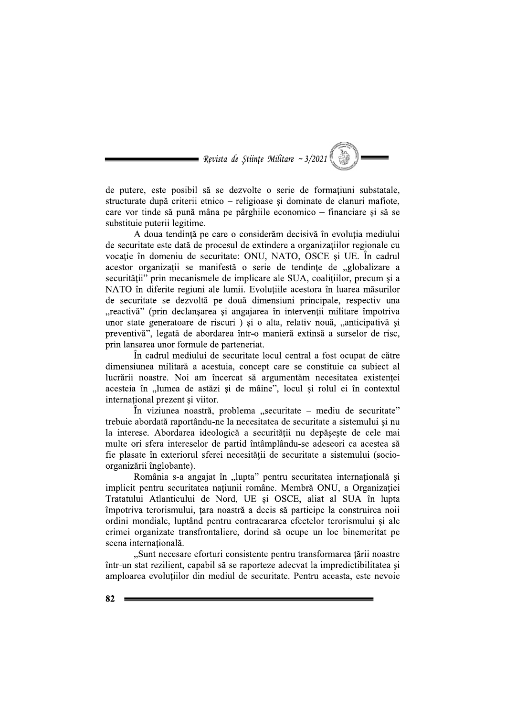$\blacksquare$  Revista de Stiințe Militare ~ 3/2021

de putere, este posibil să se dezvolte o serie de formațiuni substatale, structurate după criterii etnico – religioase și dominate de clanuri mafiote, care vor tinde să pună mâna pe pârghiile economico – financiare și să se substituie puterii legitime.

A doua tendință pe care o considerăm decisivă în evoluția mediului de securitate este dată de procesul de extindere a organizațiilor regionale cu vocație în domeniu de securitate: ONU, NATO, OSCE și UE. În cadrul acestor organizații se manifestă o serie de tendințe de "globalizare a securității" prin mecanismele de implicare ale SUA, coalițiilor, precum și a NATO în diferite regiuni ale lumii. Evoluțiile acestora în luarea măsurilor de securitate se dezvoltă pe două dimensiuni principale, respectiv una "reactivă" (prin declanșarea și angajarea în intervenții militare împotriva unor state generatoare de riscuri) si o alta, relativ nouă, "anticipativă si preventivă", legată de abordarea într-o manieră extinsă a surselor de risc, prin lansarea unor formule de parteneriat.

În cadrul mediului de securitate locul central a fost ocupat de către dimensiunea militară a acestuia, concept care se constituie ca subiect al lucrării noastre. Noi am încercat să argumentăm necesitatea existenței acesteia în "lumea de astăzi și de mâine", locul și rolul ei în contextul international prezent și viitor.

În viziunea noastră, problema "securitate – mediu de securitate" trebuie abordată raportându-ne la necesitatea de securitate a sistemului și nu la interese. Abordarea ideologică a securității nu depășește de cele mai multe ori sfera intereselor de partid întâmplându-se adeseori ca acestea să fie plasate în exteriorul sferei necesității de securitate a sistemului (socioorganizării înglobante).

România s-a angajat în "lupta" pentru securitatea internațională și implicit pentru securitatea națiunii române. Membră ONU, a Organizației Tratatului Atlanticului de Nord, UE și OSCE, aliat al SUA în lupta împotriva terorismului, țara noastră a decis să participe la construirea noii ordini mondiale, luptând pentru contracararea efectelor terorismului și ale crimei organizate transfrontaliere, dorind să ocupe un loc binemeritat pe scena internațională.

"Sunt necesare eforturi consistente pentru transformarea țării noastre într-un stat rezilient, capabil să se raporteze adecvat la impredictibilitatea și amploarea evolutiilor din mediul de securitate. Pentru aceasta, este nevoie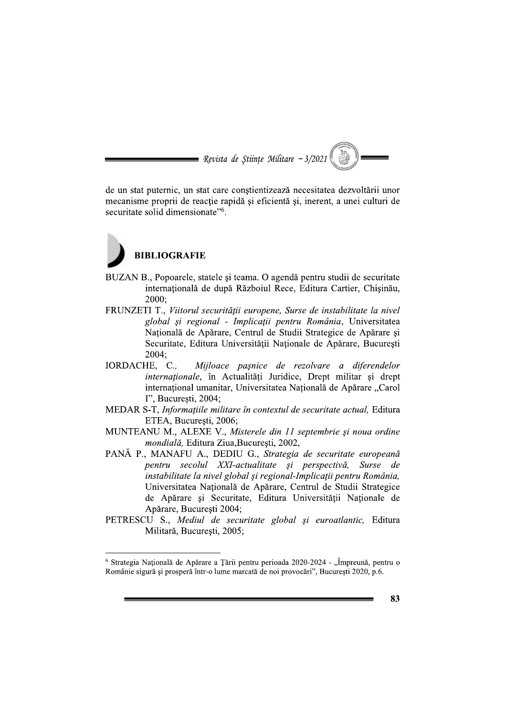= Revista de Stiințe Militare ~  $3/2021$ 

de un stat puternic, un stat care conștientizează necesitatea dezvoltării unor mecanisme proprii de reactie rapidă și eficientă și, inerent, a unei culturi de securitate solid dimensionate"<sup>6</sup>.

# **BIBLIOGRAFIE**

- BUZAN B., Popoarele, statele și teama. O agendă pentru studii de securitate internatională de după Războiul Rece, Editura Cartier, Chisinău, 2000:
- FRUNZETI T., Viitorul securității europene, Surse de instabilitate la nivel global și regional - Implicații pentru România, Universitatea Natională de Apărare, Centrul de Studii Strategice de Apărare și Securitate, Editura Universității Naționale de Apărare, București 2004:
- IORDACHE, C., Mijloace pașnice de rezolvare a diferendelor internaționale, în Actualități Juridice, Drept militar și drept internațional umanitar, Universitatea Națională de Apărare "Carol I". Bucuresti, 2004:
- MEDAR S-T, Informațiile militare în contextul de securitate actual, Editura ETEA, București, 2006;
- MUNTEANU M., ALEXE V., Misterele din 11 septembrie și noua ordine mondială, Editura Ziua, Bucuresti, 2002,
- PANĂ P., MANAFU A., DEDIU G., Strategia de securitate europeană pentru secolul XXI-actualitate și perspectivă, Surse de instabilitate la nivel global și regional-Implicații pentru România, Universitatea Națională de Apărare, Centrul de Studii Strategice de Apărare și Securitate, Editura Universității Naționale de Apărare, Bucuresti 2004;
- PETRESCU S., Mediul de securitate global și euroatlantic, Editura Militară, București, 2005;

<sup>&</sup>lt;sup>6</sup> Strategia Națională de Apărare a Țării pentru perioada 2020-2024 - "Împreună, pentru o Românie sigură și prosperă într-o lume marcată de noi provocări", București 2020, p.6.